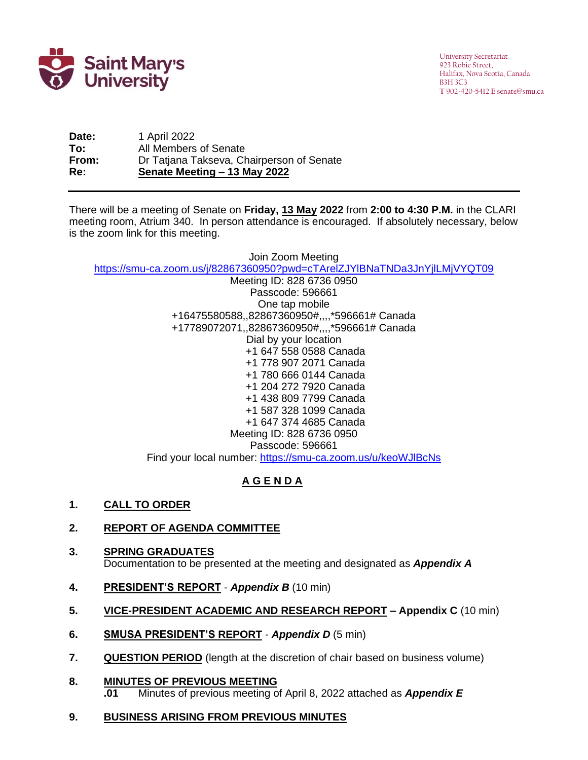

University Secretariat 923 Robie Street, Halifax, Nova Scotia, Canada B3H 3C3 **T** 902-420-5412 **E** senate@smu.ca

**Date:** 1 April 2022 **To:** All Members of Senate **From:** Dr Tatjana Takseva, Chairperson of Senate **Re: Senate Meeting – 13 May 2022**

There will be a meeting of Senate on **Friday, <u>13 May</u> 2022** from **2:00 to 4:30 P.M.** in the CLARI meeting room, Atrium 340. In person attendance is encouraged. If absolutely necessary, below is the zoom link for this meeting.

Join Zoom Meeting <https://smu-ca.zoom.us/j/82867360950?pwd=cTArelZJYlBNaTNDa3JnYjlLMjVYQT09>

Meeting ID: 828 6736 0950 Passcode: 596661 One tap mobile +16475580588,,82867360950#,,,,\*596661# Canada +17789072071,,82867360950#,,,,\*596661# Canada Dial by your location +1 647 558 0588 Canada +1 778 907 2071 Canada +1 780 666 0144 Canada +1 204 272 7920 Canada +1 438 809 7799 Canada +1 587 328 1099 Canada +1 647 374 4685 Canada Meeting ID: 828 6736 0950 Passcode: 596661 Find your local number:<https://smu-ca.zoom.us/u/keoWJlBcNs>

# **A G E N D A**

**1. CALL TO ORDER**

### **2. REPORT OF AGENDA COMMITTEE**

- **3. SPRING GRADUATES** Documentation to be presented at the meeting and designated as *Appendix A*
- **4. PRESIDENT'S REPORT** *Appendix B* (10 min)
- **5. VICE-PRESIDENT ACADEMIC AND RESEARCH REPORT – Appendix C** (10 min)
- **6. SMUSA PRESIDENT'S REPORT** *Appendix D* (5 min)
- **7. QUESTION PERIOD** (length at the discretion of chair based on business volume)
- **8. MINUTES OF PREVIOUS MEETING .01** Minutes of previous meeting of April 8, 2022 attached as *Appendix E*

#### **9. BUSINESS ARISING FROM PREVIOUS MINUTES**